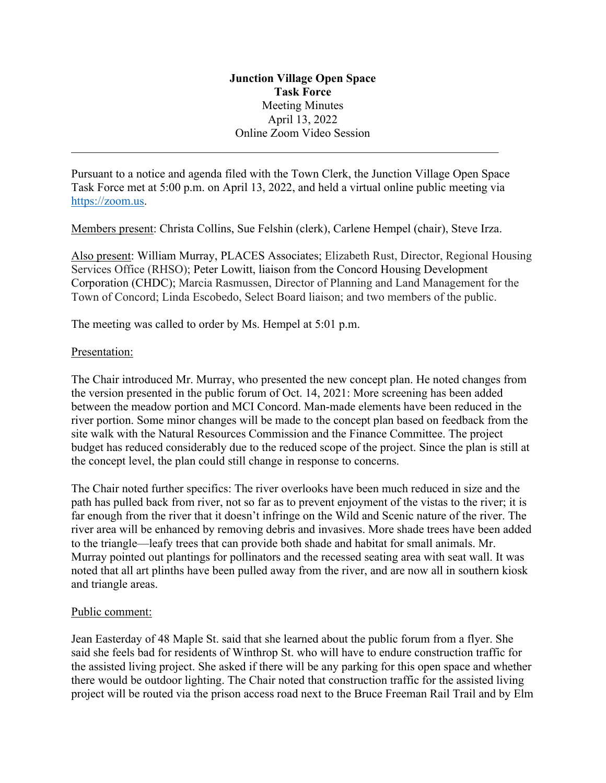## **Junction Village Open Space Task Force**  Meeting Minutes April 13, 2022 Online Zoom Video Session

Pursuant to a notice and agenda filed with the Town Clerk, the Junction Village Open Space Task Force met at 5:00 p.m. on April 13, 2022, and held a virtual online public meeting via https://zoom.us.

Members present: Christa Collins, Sue Felshin (clerk), Carlene Hempel (chair), Steve Irza.

Also present: William Murray, PLACES Associates; Elizabeth Rust, Director, Regional Housing Services Office (RHSO); Peter Lowitt, liaison from the Concord Housing Development Corporation (CHDC); Marcia Rasmussen, Director of Planning and Land Management for the Town of Concord; Linda Escobedo, Select Board liaison; and two members of the public.

The meeting was called to order by Ms. Hempel at 5:01 p.m.

## Presentation:

The Chair introduced Mr. Murray, who presented the new concept plan. He noted changes from the version presented in the public forum of Oct. 14, 2021: More screening has been added between the meadow portion and MCI Concord. Man-made elements have been reduced in the river portion. Some minor changes will be made to the concept plan based on feedback from the site walk with the Natural Resources Commission and the Finance Committee. The project budget has reduced considerably due to the reduced scope of the project. Since the plan is still at the concept level, the plan could still change in response to concerns.

The Chair noted further specifics: The river overlooks have been much reduced in size and the path has pulled back from river, not so far as to prevent enjoyment of the vistas to the river; it is far enough from the river that it doesn't infringe on the Wild and Scenic nature of the river. The river area will be enhanced by removing debris and invasives. More shade trees have been added to the triangle—leafy trees that can provide both shade and habitat for small animals. Mr. Murray pointed out plantings for pollinators and the recessed seating area with seat wall. It was noted that all art plinths have been pulled away from the river, and are now all in southern kiosk and triangle areas.

## Public comment:

Jean Easterday of 48 Maple St. said that she learned about the public forum from a flyer. She said she feels bad for residents of Winthrop St. who will have to endure construction traffic for the assisted living project. She asked if there will be any parking for this open space and whether there would be outdoor lighting. The Chair noted that construction traffic for the assisted living project will be routed via the prison access road next to the Bruce Freeman Rail Trail and by Elm